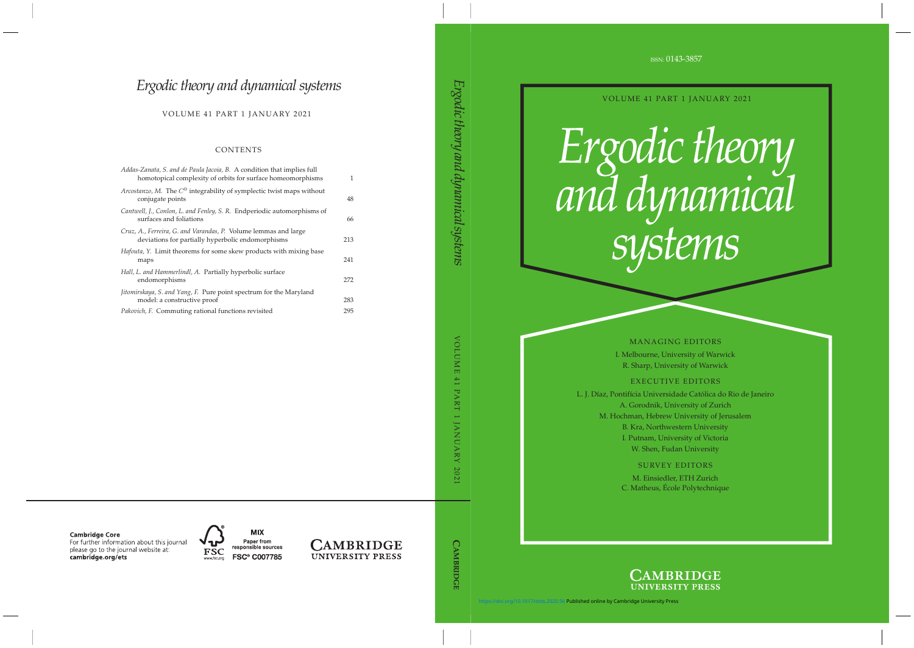ISSN: 0143-3857

VOLUME 41 PART 1 JANUARY 2021

# Ergodic theory<br>and dynamical systems

### MANAGING EDITORS

I. Melbourne, University of Warwick R. Sharp, University of Warwick

# EXECUTIVE EDITORS

L. J. Díaz, Pontifícia Universidade Católica do Rio de Janeiro A. Gorodnik, University of Zurich M. Hochman, Hebrew University of Jerusalem B. Kra, Northwestern University I. Putnam, University of Victoria W. Shen, Fudan University

# SURVEY EDITORS

M. Einsiedler, ETH Zurich C. Matheus, École Polytechnique